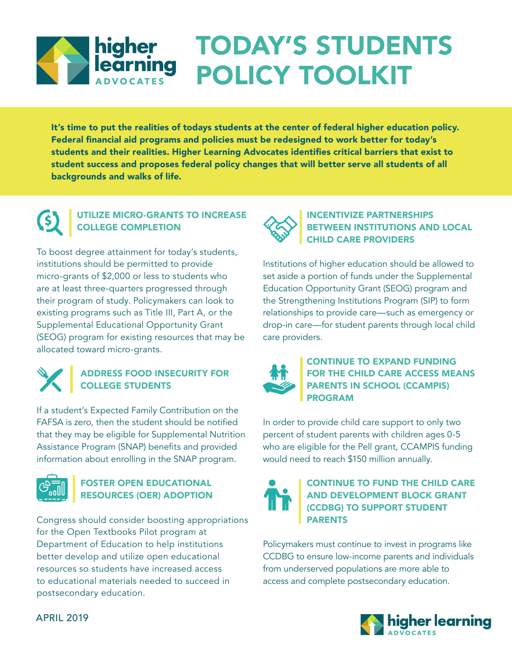# TODAY'S STUDENTS **All higher<br>All earning** POLICY TOOLKIT

It's time to put the realities of todays students at the center of federal higher education policy. Federal financial aid programs and policies must be redesigned to work better for today's students and their realities. Higher Learning Advocates identifies critical barriers that exist to student success and proposes federal policy changes that will better serve all students of all backgrounds and walks of life.

# UTILIZE MICRO-GRANTS TO INCREASE COLLEGE COMPLETION

To boost degree attainment for today's students, institutions should be permitted to provide micro-grants of \$2,000 or less to students who are at least three-quarters progressed through their program of study. Policymakers can look to existing programs such as Title III, Part A, or the Supplemental Educational Opportunity Grant (SEOG) program for existing resources that may be allocated toward micro-grants.



# ADDRESS FOOD INSECURITY FOR COLLEGE STUDENTS

If a student's Expected Family Contribution on the FAFSA is zero, then the student should be notified that they may be eligible for Supplemental Nutrition Assistance Program (SNAP) benefits and provided information about enrolling in the SNAP program.



# FOSTER OPEN EDUCATIONAL RESOURCES (OER) ADOPTION

Congress should consider boosting appropriations for the Open Textbooks Pilot program at Department of Education to help institutions better develop and utilize open educational resources so students have increased access to educational materials needed to succeed in postsecondary education.



# INCENTIVIZE PARTNERSHIPS BETWEEN INSTITUTIONS AND LOCAL CHILD CARE PROVIDERS

Institutions of higher education should be allowed to set aside a portion of funds under the Supplemental Education Opportunity Grant (SEOG) program and the Strengthening Institutions Program (SIP) to form relationships to provide care—such as emergency or drop-in care—for student parents through local child care providers.



### CONTINUE TO EXPAND FUNDING FOR THE CHILD CARE ACCESS MEANS PARENTS IN SCHOOL (CCAMPIS) PROGRAM

In order to provide child care support to only two percent of student parents with children ages 0-5 who are eligible for the Pell grant, CCAMPIS funding would need to reach \$150 million annually.



### CONTINUE TO FUND THE CHILD CARE AND DEVELOPMENT BLOCK GRANT (CCDBG) TO SUPPORT STUDENT PARENTS

Policymakers must continue to invest in programs like CCDBG to ensure low-income parents and individuals from underserved populations are more able to access and complete postsecondary education.



APRIL 2019